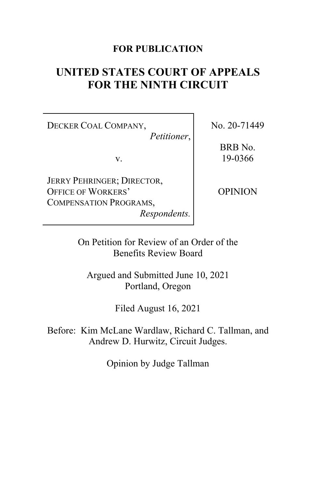# **FOR PUBLICATION**

# **UNITED STATES COURT OF APPEALS FOR THE NINTH CIRCUIT**

DECKER COAL COMPANY,

*Petitioner*,

v.

JERRY PEHRINGER; DIRECTOR, OFFICE OF WORKERS' COMPENSATION PROGRAMS,

*Respondents.*

No. 20-71449

BRB No. 19-0366

OPINION

On Petition for Review of an Order of the Benefits Review Board

Argued and Submitted June 10, 2021 Portland, Oregon

Filed August 16, 2021

Before: Kim McLane Wardlaw, Richard C. Tallman, and Andrew D. Hurwitz, Circuit Judges.

Opinion by Judge Tallman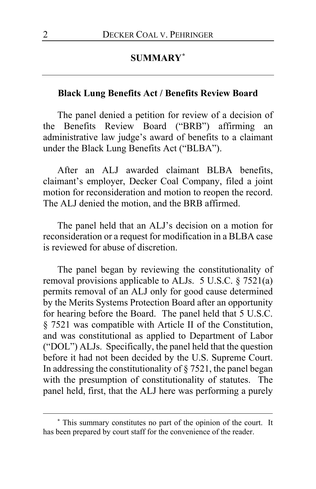# **SUMMARY[\\*](#page-1-0)**

## **Black Lung Benefits Act / Benefits Review Board**

The panel denied a petition for review of a decision of the Benefits Review Board ("BRB") affirming an administrative law judge's award of benefits to a claimant under the Black Lung Benefits Act ("BLBA").

After an ALJ awarded claimant BLBA benefits, claimant's employer, Decker Coal Company, filed a joint motion for reconsideration and motion to reopen the record. The ALJ denied the motion, and the BRB affirmed.

The panel held that an ALJ's decision on a motion for reconsideration or a request for modification in a BLBA case is reviewed for abuse of discretion.

The panel began by reviewing the constitutionality of removal provisions applicable to ALJs. 5 U.S.C. § 7521(a) permits removal of an ALJ only for good cause determined by the Merits Systems Protection Board after an opportunity for hearing before the Board. The panel held that 5 U.S.C. § 7521 was compatible with Article II of the Constitution, and was constitutional as applied to Department of Labor ("DOL") ALJs. Specifically, the panel held that the question before it had not been decided by the U.S. Supreme Court. In addressing the constitutionality of  $\S 7521$ , the panel began with the presumption of constitutionality of statutes. The panel held, first, that the ALJ here was performing a purely

<span id="page-1-0"></span>**<sup>\*</sup>** This summary constitutes no part of the opinion of the court. It has been prepared by court staff for the convenience of the reader.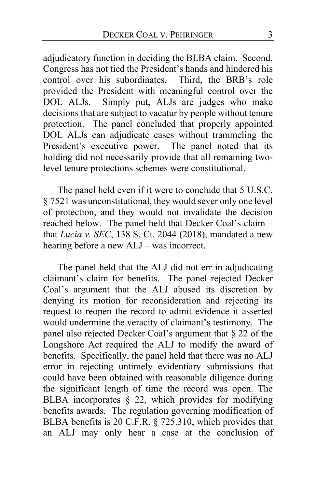adjudicatory function in deciding the BLBA claim. Second, Congress has not tied the President's hands and hindered his control over his subordinates. Third, the BRB's role provided the President with meaningful control over the DOL ALJs. Simply put, ALJs are judges who make decisions that are subject to vacatur by people without tenure protection. The panel concluded that properly appointed DOL ALJs can adjudicate cases without trammeling the President's executive power. The panel noted that its holding did not necessarily provide that all remaining twolevel tenure protections schemes were constitutional.

The panel held even if it were to conclude that 5 U.S.C. § 7521 was unconstitutional, they would sever only one level of protection, and they would not invalidate the decision reached below. The panel held that Decker Coal's claim – that *Lucia v. SEC*, 138 S. Ct. 2044 (2018), mandated a new hearing before a new ALJ – was incorrect.

The panel held that the ALJ did not err in adjudicating claimant's claim for benefits. The panel rejected Decker Coal's argument that the ALJ abused its discretion by denying its motion for reconsideration and rejecting its request to reopen the record to admit evidence it asserted would undermine the veracity of claimant's testimony. The panel also rejected Decker Coal's argument that § 22 of the Longshore Act required the ALJ to modify the award of benefits. Specifically, the panel held that there was no ALJ error in rejecting untimely evidentiary submissions that could have been obtained with reasonable diligence during the significant length of time the record was open. The BLBA incorporates § 22, which provides for modifying benefits awards. The regulation governing modification of BLBA benefits is 20 C.F.R. § 725.310, which provides that an ALJ may only hear a case at the conclusion of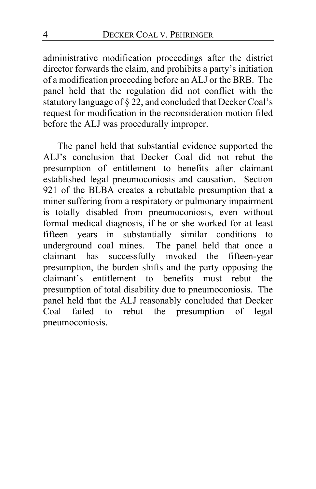administrative modification proceedings after the district director forwards the claim, and prohibits a party's initiation of a modification proceeding before an ALJ or the BRB. The panel held that the regulation did not conflict with the statutory language of § 22, and concluded that Decker Coal's request for modification in the reconsideration motion filed before the ALJ was procedurally improper.

The panel held that substantial evidence supported the ALJ's conclusion that Decker Coal did not rebut the presumption of entitlement to benefits after claimant established legal pneumoconiosis and causation. Section 921 of the BLBA creates a rebuttable presumption that a miner suffering from a respiratory or pulmonary impairment is totally disabled from pneumoconiosis, even without formal medical diagnosis, if he or she worked for at least fifteen years in substantially similar conditions to underground coal mines. The panel held that once a claimant has successfully invoked the fifteen-year presumption, the burden shifts and the party opposing the claimant's entitlement to benefits must rebut the presumption of total disability due to pneumoconiosis. The panel held that the ALJ reasonably concluded that Decker Coal failed to rebut the presumption of legal pneumoconiosis.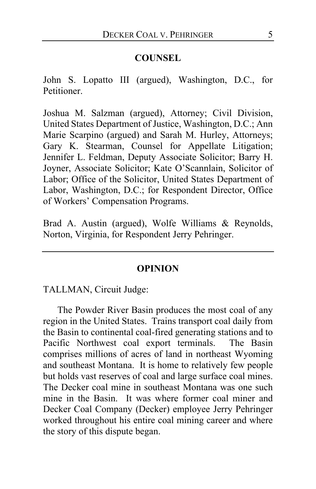# **COUNSEL**

John S. Lopatto III (argued), Washington, D.C., for Petitioner.

Joshua M. Salzman (argued), Attorney; Civil Division, United States Department of Justice, Washington, D.C.; Ann Marie Scarpino (argued) and Sarah M. Hurley, Attorneys; Gary K. Stearman, Counsel for Appellate Litigation; Jennifer L. Feldman, Deputy Associate Solicitor; Barry H. Joyner, Associate Solicitor; Kate O'Scannlain, Solicitor of Labor; Office of the Solicitor, United States Department of Labor, Washington, D.C.; for Respondent Director, Office of Workers' Compensation Programs.

Brad A. Austin (argued), Wolfe Williams & Reynolds, Norton, Virginia, for Respondent Jerry Pehringer.

## **OPINION**

TALLMAN, Circuit Judge:

The Powder River Basin produces the most coal of any region in the United States. Trains transport coal daily from the Basin to continental coal-fired generating stations and to Pacific Northwest coal export terminals. The Basin comprises millions of acres of land in northeast Wyoming and southeast Montana. It is home to relatively few people but holds vast reserves of coal and large surface coal mines. The Decker coal mine in southeast Montana was one such mine in the Basin. It was where former coal miner and Decker Coal Company (Decker) employee Jerry Pehringer worked throughout his entire coal mining career and where the story of this dispute began.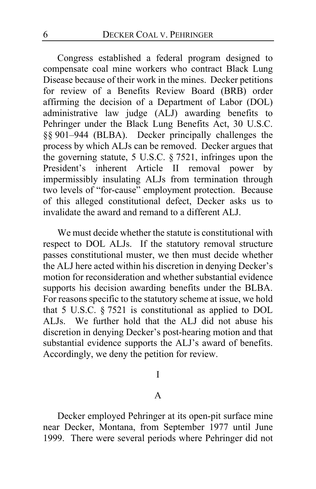Congress established a federal program designed to compensate coal mine workers who contract Black Lung Disease because of their work in the mines. Decker petitions for review of a Benefits Review Board (BRB) order affirming the decision of a Department of Labor (DOL) administrative law judge (ALJ) awarding benefits to Pehringer under the Black Lung Benefits Act, 30 U.S.C. §§ 901–944 (BLBA). Decker principally challenges the process by which ALJs can be removed. Decker argues that the governing statute, 5 U.S.C. § 7521, infringes upon the President's inherent Article II removal power by impermissibly insulating ALJs from termination through two levels of "for-cause" employment protection. Because of this alleged constitutional defect, Decker asks us to invalidate the award and remand to a different ALJ.

We must decide whether the statute is constitutional with respect to DOL ALJs. If the statutory removal structure passes constitutional muster, we then must decide whether the ALJ here acted within his discretion in denying Decker's motion for reconsideration and whether substantial evidence supports his decision awarding benefits under the BLBA. For reasons specific to the statutory scheme at issue, we hold that 5 U.S.C. § 7521 is constitutional as applied to DOL ALJs. We further hold that the ALJ did not abuse his discretion in denying Decker's post-hearing motion and that substantial evidence supports the ALJ's award of benefits. Accordingly, we deny the petition for review.

I

# A

Decker employed Pehringer at its open-pit surface mine near Decker, Montana, from September 1977 until June 1999. There were several periods where Pehringer did not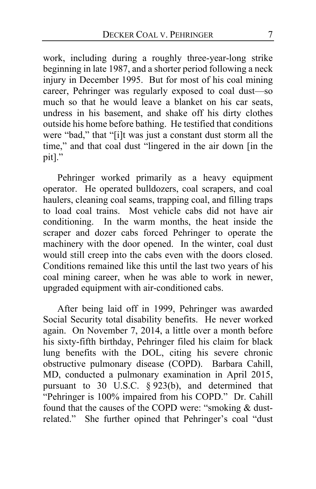work, including during a roughly three-year-long strike beginning in late 1987, and a shorter period following a neck injury in December 1995. But for most of his coal mining career, Pehringer was regularly exposed to coal dust—so much so that he would leave a blanket on his car seats, undress in his basement, and shake off his dirty clothes outside his home before bathing. He testified that conditions were "bad," that "[i]t was just a constant dust storm all the time," and that coal dust "lingered in the air down [in the pit]."

Pehringer worked primarily as a heavy equipment operator. He operated bulldozers, coal scrapers, and coal haulers, cleaning coal seams, trapping coal, and filling traps to load coal trains. Most vehicle cabs did not have air conditioning. In the warm months, the heat inside the scraper and dozer cabs forced Pehringer to operate the machinery with the door opened. In the winter, coal dust would still creep into the cabs even with the doors closed. Conditions remained like this until the last two years of his coal mining career, when he was able to work in newer, upgraded equipment with air-conditioned cabs.

After being laid off in 1999, Pehringer was awarded Social Security total disability benefits. He never worked again. On November 7, 2014, a little over a month before his sixty-fifth birthday, Pehringer filed his claim for black lung benefits with the DOL, citing his severe chronic obstructive pulmonary disease (COPD). Barbara Cahill, MD, conducted a pulmonary examination in April 2015, pursuant to 30 U.S.C. § 923(b), and determined that "Pehringer is 100% impaired from his COPD." Dr. Cahill found that the causes of the COPD were: "smoking & dustrelated." She further opined that Pehringer's coal "dust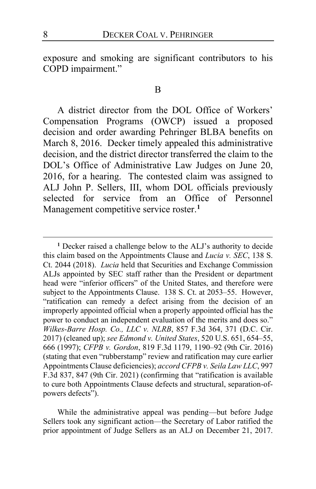exposure and smoking are significant contributors to his COPD impairment."

#### B

A district director from the DOL Office of Workers' Compensation Programs (OWCP) issued a proposed decision and order awarding Pehringer BLBA benefits on March 8, 2016. Decker timely appealed this administrative decision, and the district director transferred the claim to the DOL's Office of Administrative Law Judges on June 20, 2016, for a hearing. The contested claim was assigned to ALJ John P. Sellers, III, whom DOL officials previously selected for service from an Office of Personnel Management competitive service roster.**[1](#page-7-0)**

While the administrative appeal was pending—but before Judge Sellers took any significant action—the Secretary of Labor ratified the prior appointment of Judge Sellers as an ALJ on December 21, 2017.

<span id="page-7-0"></span>**<sup>1</sup>** Decker raised a challenge below to the ALJ's authority to decide this claim based on the Appointments Clause and *Lucia v. SEC*, 138 S. Ct. 2044 (2018). *Lucia* held that Securities and Exchange Commission ALJs appointed by SEC staff rather than the President or department head were "inferior officers" of the United States, and therefore were subject to the Appointments Clause. 138 S. Ct. at 2053–55. However, "ratification can remedy a defect arising from the decision of an improperly appointed official when a properly appointed official has the power to conduct an independent evaluation of the merits and does so." *Wilkes-Barre Hosp. Co., LLC v. NLRB*, 857 F.3d 364, 371 (D.C. Cir. 2017) (cleaned up); *see Edmond v. United States*, 520 U.S. 651, 654–55, 666 (1997); *CFPB v. Gordon*, 819 F.3d 1179, 1190–92 (9th Cir. 2016) (stating that even "rubberstamp" review and ratification may cure earlier Appointments Clause deficiencies); *accord CFPB v. Seila Law LLC*, 997 F.3d 837, 847 (9th Cir. 2021) (confirming that "ratification is available to cure both Appointments Clause defects and structural, separation-ofpowers defects").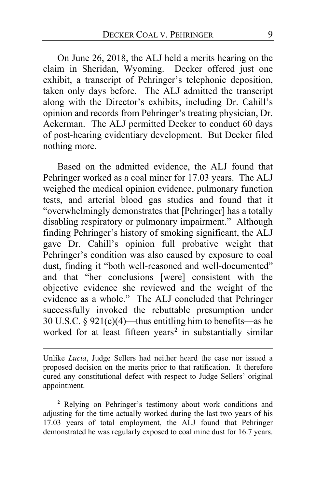On June 26, 2018, the ALJ held a merits hearing on the claim in Sheridan, Wyoming. Decker offered just one exhibit, a transcript of Pehringer's telephonic deposition, taken only days before. The ALJ admitted the transcript along with the Director's exhibits, including Dr. Cahill's opinion and records from Pehringer's treating physician, Dr. Ackerman. The ALJ permitted Decker to conduct 60 days of post-hearing evidentiary development. But Decker filed nothing more.

Based on the admitted evidence, the ALJ found that Pehringer worked as a coal miner for 17.03 years. The ALJ weighed the medical opinion evidence, pulmonary function tests, and arterial blood gas studies and found that it "overwhelmingly demonstrates that [Pehringer] has a totally disabling respiratory or pulmonary impairment." Although finding Pehringer's history of smoking significant, the ALJ gave Dr. Cahill's opinion full probative weight that Pehringer's condition was also caused by exposure to coal dust, finding it "both well-reasoned and well-documented" and that "her conclusions [were] consistent with the objective evidence she reviewed and the weight of the evidence as a whole." The ALJ concluded that Pehringer successfully invoked the rebuttable presumption under 30 U.S.C.  $\frac{5}{9}$  921(c)(4)—thus entitling him to benefits—as he worked for at least fifteen years**[2](#page-8-0)** in substantially similar

<span id="page-8-0"></span>**<sup>2</sup>** Relying on Pehringer's testimony about work conditions and adjusting for the time actually worked during the last two years of his 17.03 years of total employment, the ALJ found that Pehringer demonstrated he was regularly exposed to coal mine dust for 16.7 years.

Unlike *Lucia*, Judge Sellers had neither heard the case nor issued a proposed decision on the merits prior to that ratification. It therefore cured any constitutional defect with respect to Judge Sellers' original appointment.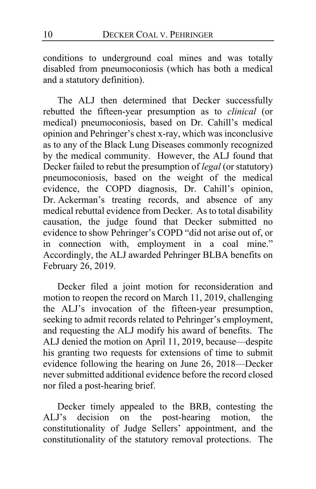conditions to underground coal mines and was totally disabled from pneumoconiosis (which has both a medical and a statutory definition).

The ALJ then determined that Decker successfully rebutted the fifteen-year presumption as to *clinical* (or medical) pneumoconiosis, based on Dr. Cahill's medical opinion and Pehringer's chest x-ray, which was inconclusive as to any of the Black Lung Diseases commonly recognized by the medical community. However, the ALJ found that Decker failed to rebut the presumption of *legal* (or statutory) pneumoconiosis, based on the weight of the medical evidence, the COPD diagnosis, Dr. Cahill's opinion, Dr. Ackerman's treating records, and absence of any medical rebuttal evidence from Decker. As to total disability causation, the judge found that Decker submitted no evidence to show Pehringer's COPD "did not arise out of, or in connection with, employment in a coal mine." Accordingly, the ALJ awarded Pehringer BLBA benefits on February 26, 2019.

Decker filed a joint motion for reconsideration and motion to reopen the record on March 11, 2019, challenging the ALJ's invocation of the fifteen-year presumption, seeking to admit records related to Pehringer's employment, and requesting the ALJ modify his award of benefits. The ALJ denied the motion on April 11, 2019, because—despite his granting two requests for extensions of time to submit evidence following the hearing on June 26, 2018—Decker never submitted additional evidence before the record closed nor filed a post-hearing brief.

Decker timely appealed to the BRB, contesting the ALJ's decision on the post-hearing motion, the constitutionality of Judge Sellers' appointment, and the constitutionality of the statutory removal protections. The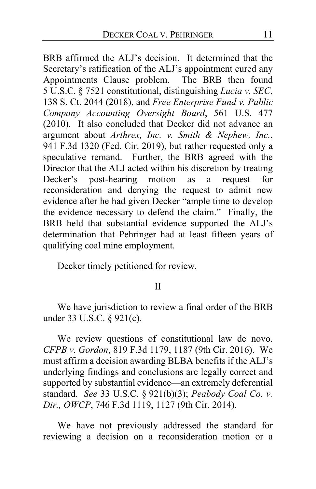BRB affirmed the ALJ's decision. It determined that the Secretary's ratification of the ALJ's appointment cured any Appointments Clause problem. The BRB then found 5 U.S.C. § 7521 constitutional, distinguishing *Lucia v. SEC*, 138 S. Ct. 2044 (2018), and *Free Enterprise Fund v. Public Company Accounting Oversight Board*, 561 U.S. 477 (2010). It also concluded that Decker did not advance an argument about *Arthrex, Inc. v. Smith & Nephew, Inc.*, 941 F.3d 1320 (Fed. Cir. 2019), but rather requested only a speculative remand. Further, the BRB agreed with the Director that the ALJ acted within his discretion by treating Decker's post-hearing motion as a request for reconsideration and denying the request to admit new evidence after he had given Decker "ample time to develop the evidence necessary to defend the claim." Finally, the BRB held that substantial evidence supported the ALJ's determination that Pehringer had at least fifteen years of qualifying coal mine employment.

Decker timely petitioned for review.

# II

We have jurisdiction to review a final order of the BRB under 33 U.S.C. § 921(c).

We review questions of constitutional law de novo. *CFPB v. Gordon*, 819 F.3d 1179, 1187 (9th Cir. 2016). We must affirm a decision awarding BLBA benefits if the ALJ's underlying findings and conclusions are legally correct and supported by substantial evidence—an extremely deferential standard. *See* 33 U.S.C. § 921(b)(3); *Peabody Coal Co. v. Dir., OWCP*, 746 F.3d 1119, 1127 (9th Cir. 2014).

We have not previously addressed the standard for reviewing a decision on a reconsideration motion or a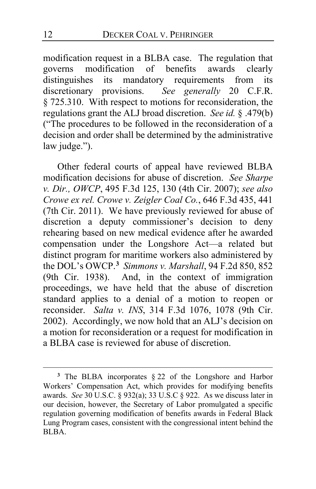modification request in a BLBA case. The regulation that governs modification of benefits awards clearly governs modification of benefits distinguishes its mandatory requirements from its discretionary provisions. *See generally* 20 C.F.R. § 725.310. With respect to motions for reconsideration, the regulations grant the ALJ broad discretion. *See id.* § .479(b) ("The procedures to be followed in the reconsideration of a decision and order shall be determined by the administrative law judge.").

Other federal courts of appeal have reviewed BLBA modification decisions for abuse of discretion. *See Sharpe v. Dir., OWCP*, 495 F.3d 125, 130 (4th Cir. 2007); *see also Crowe ex rel. Crowe v. Zeigler Coal Co.*, 646 F.3d 435, 441 (7th Cir. 2011). We have previously reviewed for abuse of discretion a deputy commissioner's decision to deny rehearing based on new medical evidence after he awarded compensation under the Longshore Act—a related but distinct program for maritime workers also administered by the DOL's OWCP.**[3](#page-11-0)** *Simmons v. Marshall*, 94 F.2d 850, 852 (9th Cir. 1938). And, in the context of immigration proceedings, we have held that the abuse of discretion standard applies to a denial of a motion to reopen or reconsider. *Salta v. INS*, 314 F.3d 1076, 1078 (9th Cir. 2002). Accordingly, we now hold that an ALJ's decision on a motion for reconsideration or a request for modification in a BLBA case is reviewed for abuse of discretion.

<span id="page-11-0"></span>**<sup>3</sup>** The BLBA incorporates § 22 of the Longshore and Harbor Workers' Compensation Act, which provides for modifying benefits awards. *See* 30 U.S.C. § 932(a); 33 U.S.C § 922. As we discuss later in our decision, however, the Secretary of Labor promulgated a specific regulation governing modification of benefits awards in Federal Black Lung Program cases, consistent with the congressional intent behind the BLBA.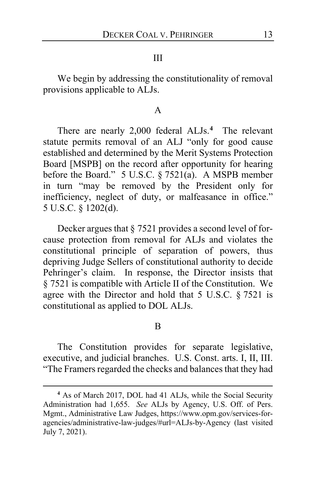#### III

We begin by addressing the constitutionality of removal provisions applicable to ALJs.

#### A

There are nearly 2,000 federal ALJs.**[4](#page-12-0)** The relevant statute permits removal of an ALJ "only for good cause established and determined by the Merit Systems Protection Board [MSPB] on the record after opportunity for hearing before the Board." 5 U.S.C. § 7521(a). A MSPB member in turn "may be removed by the President only for inefficiency, neglect of duty, or malfeasance in office." 5 U.S.C. § 1202(d).

Decker argues that § 7521 provides a second level of forcause protection from removal for ALJs and violates the constitutional principle of separation of powers, thus depriving Judge Sellers of constitutional authority to decide Pehringer's claim. In response, the Director insists that § 7521 is compatible with Article II of the Constitution. We agree with the Director and hold that 5 U.S.C. § 7521 is constitutional as applied to DOL ALJs.

B

The Constitution provides for separate legislative, executive, and judicial branches. U.S. Const. arts. I, II, III. "The Framers regarded the checks and balances that they had

<span id="page-12-0"></span>**<sup>4</sup>** As of March 2017, DOL had 41 ALJs, while the Social Security Administration had 1,655. *See* ALJs by Agency, U.S. Off. of Pers. Mgmt., Administrative Law Judges, https://www.opm.gov/services-foragencies/administrative-law-judges/#url=ALJs-by-Agency (last visited July 7, 2021).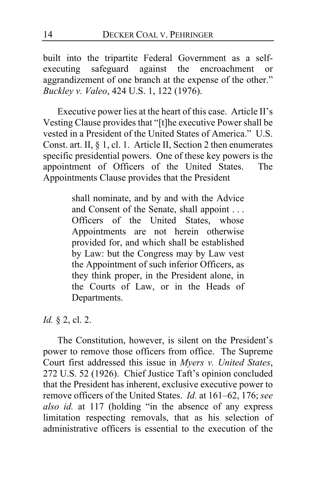built into the tripartite Federal Government as a selfexecuting safeguard against the encroachment or aggrandizement of one branch at the expense of the other." *Buckley v. Valeo*, 424 U.S. 1, 122 (1976).

Executive power lies at the heart of this case. Article II's Vesting Clause provides that "[t]he executive Power shall be vested in a President of the United States of America." U.S. Const. art. II, § 1, cl. 1. Article II, Section 2 then enumerates specific presidential powers. One of these key powers is the appointment of Officers of the United States. The Appointments Clause provides that the President

> shall nominate, and by and with the Advice and Consent of the Senate, shall appoint . . . Officers of the United States, whose Appointments are not herein otherwise provided for, and which shall be established by Law: but the Congress may by Law vest the Appointment of such inferior Officers, as they think proper, in the President alone, in the Courts of Law, or in the Heads of Departments.

*Id.* § 2, cl. 2.

The Constitution, however, is silent on the President's power to remove those officers from office. The Supreme Court first addressed this issue in *Myers v. United States*, 272 U.S. 52 (1926). Chief Justice Taft's opinion concluded that the President has inherent, exclusive executive power to remove officers of the United States. *Id.* at 161–62, 176; *see also id.* at 117 (holding "in the absence of any express limitation respecting removals, that as his selection of administrative officers is essential to the execution of the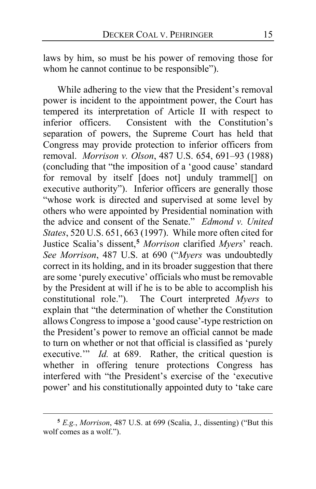laws by him, so must be his power of removing those for whom he cannot continue to be responsible").

While adhering to the view that the President's removal power is incident to the appointment power, the Court has tempered its interpretation of Article II with respect to inferior officers. Consistent with the Constitution's separation of powers, the Supreme Court has held that Congress may provide protection to inferior officers from removal. *Morrison v. Olson*, 487 U.S. 654, 691–93 (1988) (concluding that "the imposition of a 'good cause' standard for removal by itself [does not] unduly trammel[] on executive authority"). Inferior officers are generally those "whose work is directed and supervised at some level by others who were appointed by Presidential nomination with the advice and consent of the Senate." *Edmond v. United States*, 520 U.S. 651, 663 (1997). While more often cited for Justice Scalia's dissent,**[5](#page-14-0)** *Morrison* clarified *Myers*' reach. *See Morrison*, 487 U.S. at 690 ("*Myers* was undoubtedly correct in its holding, and in its broader suggestion that there are some 'purely executive' officials who must be removable by the President at will if he is to be able to accomplish his constitutional role."). The Court interpreted *Myers* to explain that "the determination of whether the Constitution allows Congress to impose a 'good cause'-type restriction on the President's power to remove an official cannot be made to turn on whether or not that official is classified as 'purely executive." *Id.* at 689. Rather, the critical question is whether in offering tenure protections Congress has interfered with "the President's exercise of the 'executive power' and his constitutionally appointed duty to 'take care

<span id="page-14-0"></span>**<sup>5</sup>** *E.g.*, *Morrison*, 487 U.S. at 699 (Scalia, J., dissenting) ("But this wolf comes as a wolf.").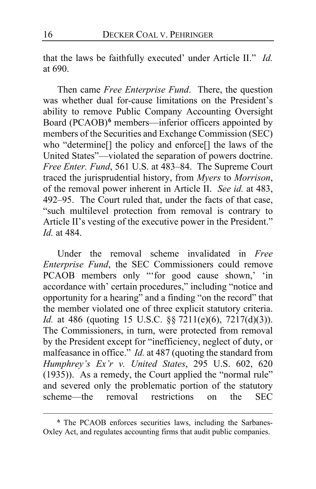that the laws be faithfully executed' under Article II." *Id.*  at 690.

Then came *Free Enterprise Fund*. There, the question was whether dual for-cause limitations on the President's ability to remove Public Company Accounting Oversight Board (PCAOB)**[6](#page-15-0)** members—inferior officers appointed by members of the Securities and Exchange Commission (SEC) who "determine<sup>[]</sup> the policy and enforce<sup>[]</sup> the laws of the United States"—violated the separation of powers doctrine. *Free Enter. Fund*, 561 U.S. at 483–84. The Supreme Court traced the jurisprudential history, from *Myers* to *Morrison*, of the removal power inherent in Article II. *See id.* at 483, 492–95. The Court ruled that, under the facts of that case, "such multilevel protection from removal is contrary to Article II's vesting of the executive power in the President." *Id.* at 484.

Under the removal scheme invalidated in *Free Enterprise Fund*, the SEC Commissioners could remove PCAOB members only "'for good cause shown,' 'in accordance with' certain procedures," including "notice and opportunity for a hearing" and a finding "on the record" that the member violated one of three explicit statutory criteria. *Id.* at 486 (quoting 15 U.S.C. §§ 7211(e)(6), 7217(d)(3)). The Commissioners, in turn, were protected from removal by the President except for "inefficiency, neglect of duty, or malfeasance in office." *Id.* at 487 (quoting the standard from *Humphrey's Ex'r v. United States*, 295 U.S. 602, 620 (1935)). As a remedy, the Court applied the "normal rule" and severed only the problematic portion of the statutory scheme—the removal restrictions on the SEC

<span id="page-15-0"></span>**<sup>6</sup>** The PCAOB enforces securities laws, including the Sarbanes-Oxley Act, and regulates accounting firms that audit public companies.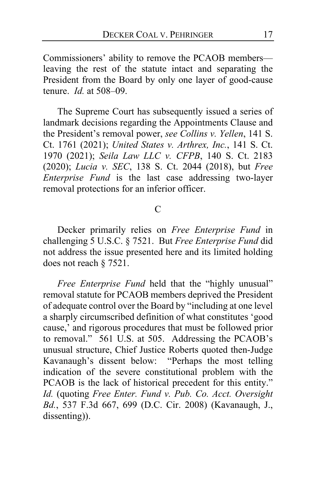Commissioners' ability to remove the PCAOB members leaving the rest of the statute intact and separating the President from the Board by only one layer of good-cause tenure. *Id.* at 508–09.

The Supreme Court has subsequently issued a series of landmark decisions regarding the Appointments Clause and the President's removal power, *see Collins v. Yellen*, 141 S. Ct. 1761 (2021); *United States v. Arthrex, Inc.*, 141 S. Ct. 1970 (2021); *Seila Law LLC v. CFPB*, 140 S. Ct. 2183 (2020); *Lucia v. SEC*, 138 S. Ct. 2044 (2018), but *Free Enterprise Fund* is the last case addressing two-layer removal protections for an inferior officer.

# C

Decker primarily relies on *Free Enterprise Fund* in challenging 5 U.S.C. § 7521. But *Free Enterprise Fund* did not address the issue presented here and its limited holding does not reach § 7521.

*Free Enterprise Fund* held that the "highly unusual" removal statute for PCAOB members deprived the President of adequate control over the Board by "including at one level a sharply circumscribed definition of what constitutes 'good cause,' and rigorous procedures that must be followed prior to removal." 561 U.S. at 505. Addressing the PCAOB's unusual structure, Chief Justice Roberts quoted then-Judge Kavanaugh's dissent below: "Perhaps the most telling indication of the severe constitutional problem with the PCAOB is the lack of historical precedent for this entity." *Id.* (quoting *Free Enter. Fund v. Pub. Co. Acct. Oversight Bd.*, 537 F.3d 667, 699 (D.C. Cir. 2008) (Kavanaugh, J., dissenting)).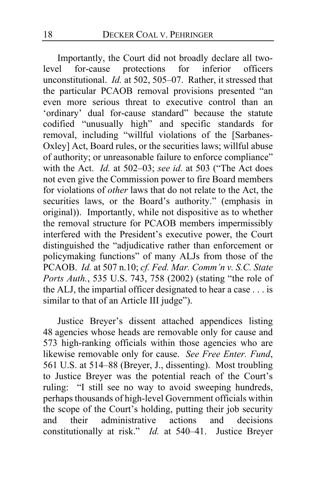Importantly, the Court did not broadly declare all two-<br>el for-cause protections for inferior officers level for-cause protections for inferior officers unconstitutional. *Id.* at 502, 505–07. Rather, it stressed that the particular PCAOB removal provisions presented "an even more serious threat to executive control than an 'ordinary' dual for-cause standard" because the statute codified "unusually high" and specific standards for removal, including "willful violations of the [Sarbanes-Oxley] Act, Board rules, or the securities laws; willful abuse of authority; or unreasonable failure to enforce compliance" with the Act. *Id.* at 502–03; *see id.* at 503 ("The Act does not even give the Commission power to fire Board members for violations of *other* laws that do not relate to the Act, the securities laws, or the Board's authority." (emphasis in original)). Importantly, while not dispositive as to whether the removal structure for PCAOB members impermissibly interfered with the President's executive power, the Court distinguished the "adjudicative rather than enforcement or policymaking functions" of many ALJs from those of the PCAOB. *Id.* at 507 n.10; *cf. Fed. Mar. Comm'n v. S.C. State Ports Auth.*, 535 U.S. 743, 758 (2002) (stating "the role of the ALJ, the impartial officer designated to hear a case . . . is similar to that of an Article III judge").

Justice Breyer's dissent attached appendices listing 48 agencies whose heads are removable only for cause and 573 high-ranking officials within those agencies who are likewise removable only for cause. *See Free Enter. Fund*, 561 U.S. at 514–88 (Breyer, J., dissenting). Most troubling to Justice Breyer was the potential reach of the Court's ruling: "I still see no way to avoid sweeping hundreds, perhaps thousands of high-level Government officials within the scope of the Court's holding, putting their job security<br>and their administrative actions and decisions and their administrative actions and constitutionally at risk." *Id.* at 540–41. Justice Breyer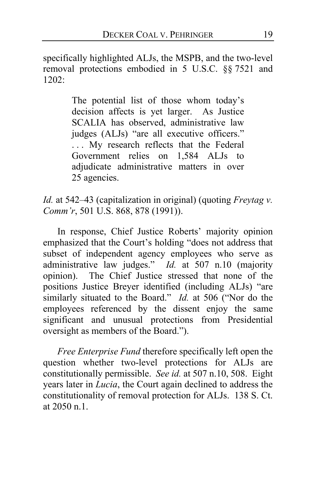specifically highlighted ALJs, the MSPB, and the two-level removal protections embodied in 5 U.S.C. §§ 7521 and 1202:

> The potential list of those whom today's decision affects is yet larger. As Justice SCALIA has observed, administrative law judges (ALJs) "are all executive officers." ... My research reflects that the Federal Government relies on 1,584 ALJs to adjudicate administrative matters in over 25 agencies.

*Id.* at 542–43 (capitalization in original) (quoting *Freytag v. Comm'r*, 501 U.S. 868, 878 (1991)).

In response, Chief Justice Roberts' majority opinion emphasized that the Court's holding "does not address that subset of independent agency employees who serve as administrative law judges." *Id.* at 507 n.10 (majority opinion). The Chief Justice stressed that none of the positions Justice Breyer identified (including ALJs) "are similarly situated to the Board." *Id.* at 506 ("Nor do the employees referenced by the dissent enjoy the same significant and unusual protections from Presidential oversight as members of the Board.").

*Free Enterprise Fund* therefore specifically left open the question whether two-level protections for ALJs are constitutionally permissible. *See id.* at 507 n.10, 508. Eight years later in *Lucia*, the Court again declined to address the constitutionality of removal protection for ALJs. 138 S. Ct. at 2050 n.1.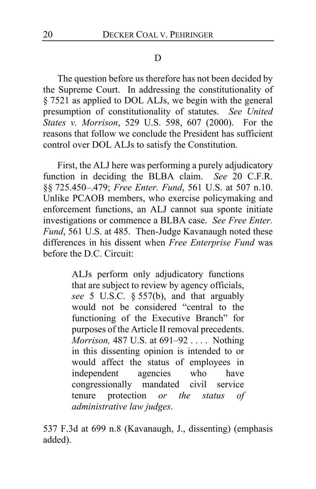# D

The question before us therefore has not been decided by the Supreme Court. In addressing the constitutionality of § 7521 as applied to DOL ALJs, we begin with the general presumption of constitutionality of statutes. *See United States v. Morrison*, 529 U.S. 598, 607 (2000). For the reasons that follow we conclude the President has sufficient control over DOL ALJs to satisfy the Constitution.

First, the ALJ here was performing a purely adjudicatory function in deciding the BLBA claim. *See* 20 C.F.R. §§ 725.450–.479; *Free Enter. Fund*, 561 U.S. at 507 n.10. Unlike PCAOB members, who exercise policymaking and enforcement functions, an ALJ cannot sua sponte initiate investigations or commence a BLBA case. *See Free Enter. Fund*, 561 U.S. at 485. Then-Judge Kavanaugh noted these differences in his dissent when *Free Enterprise Fund* was before the D.C. Circuit:

> ALJs perform only adjudicatory functions that are subject to review by agency officials, *see* 5 U.S.C. § 557(b), and that arguably would not be considered "central to the functioning of the Executive Branch" for purposes of the Article II removal precedents. *Morrison,* 487 U.S. at 691–92 . . . . Nothing in this dissenting opinion is intended to or would affect the status of employees in independent agencies who have congressionally mandated civil service tenure protection *or the status of administrative law judges*.

537 F.3d at 699 n.8 (Kavanaugh, J., dissenting) (emphasis added).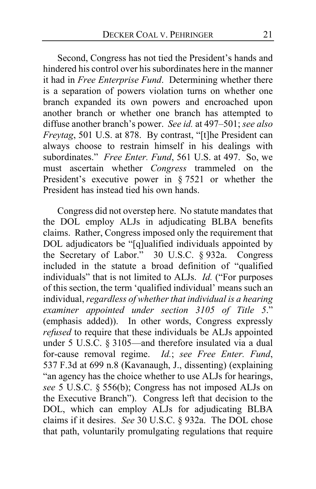Second, Congress has not tied the President's hands and hindered his control over his subordinates here in the manner it had in *Free Enterprise Fund*. Determining whether there is a separation of powers violation turns on whether one branch expanded its own powers and encroached upon another branch or whether one branch has attempted to diffuse another branch's power. *See id.* at 497–501; *see also Freytag*, 501 U.S. at 878. By contrast, "[t]he President can always choose to restrain himself in his dealings with subordinates." *Free Enter. Fund*, 561 U.S. at 497. So, we must ascertain whether *Congress* trammeled on the President's executive power in § 7521 or whether the President has instead tied his own hands.

Congress did not overstep here. No statute mandates that the DOL employ ALJs in adjudicating BLBA benefits claims. Rather, Congress imposed only the requirement that DOL adjudicators be "[q]ualified individuals appointed by the Secretary of Labor." 30 U.S.C. § 932a. Congress included in the statute a broad definition of "qualified individuals" that is not limited to ALJs. *Id.* ("For purposes of this section, the term 'qualified individual' means such an individual, *regardless of whether that individual is a hearing examiner appointed under section 3105 of Title 5*." (emphasis added)). In other words, Congress expressly *refused* to require that these individuals be ALJs appointed under 5 U.S.C. § 3105—and therefore insulated via a dual for-cause removal regime. *Id.*; *see Free Enter. Fund*, 537 F.3d at 699 n.8 (Kavanaugh, J., dissenting) (explaining "an agency has the choice whether to use ALJs for hearings, *see* 5 U.S.C. § 556(b); Congress has not imposed ALJs on the Executive Branch").Congress left that decision to the DOL, which can employ ALJs for adjudicating BLBA claims if it desires. *See* 30 U.S.C. § 932a.The DOL chose that path, voluntarily promulgating regulations that require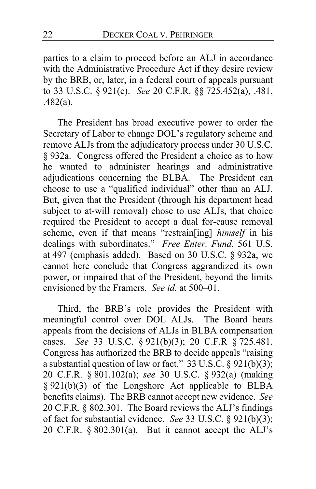parties to a claim to proceed before an ALJ in accordance with the Administrative Procedure Act if they desire review by the BRB, or, later, in a federal court of appeals pursuant to 33 U.S.C. § 921(c). *See* 20 C.F.R. §§ 725.452(a), .481, .482(a).

The President has broad executive power to order the Secretary of Labor to change DOL's regulatory scheme and remove ALJs from the adjudicatory process under 30 U.S.C. § 932a. Congress offered the President a choice as to how he wanted to administer hearings and administrative adjudications concerning the BLBA. The President can choose to use a "qualified individual" other than an ALJ. But, given that the President (through his department head subject to at-will removal) chose to use ALJs, that choice required the President to accept a dual for-cause removal scheme, even if that means "restrain[ing] *himself* in his dealings with subordinates." *Free Enter. Fund*, 561 U.S. at 497 (emphasis added). Based on 30 U.S.C. § 932a, we cannot here conclude that Congress aggrandized its own power, or impaired that of the President, beyond the limits envisioned by the Framers. *See id.* at 500–01.

Third, the BRB's role provides the President with meaningful control over DOL ALJs. The Board hears appeals from the decisions of ALJs in BLBA compensation cases. *See* 33 U.S.C. § 921(b)(3); 20 C.F.R § 725.481. Congress has authorized the BRB to decide appeals "raising a substantial question of law or fact." 33 U.S.C. § 921(b)(3); 20 C.F.R. § 801.102(a); *see* 30 U.S.C. § 932(a) (making § 921(b)(3) of the Longshore Act applicable to BLBA benefits claims). The BRB cannot accept new evidence. *See*  20 C.F.R. § 802.301. The Board reviews the ALJ's findings of fact for substantial evidence. *See* 33 U.S.C. § 921(b)(3); 20 C.F.R.  $\S 802.301(a)$ . But it cannot accept the ALJ's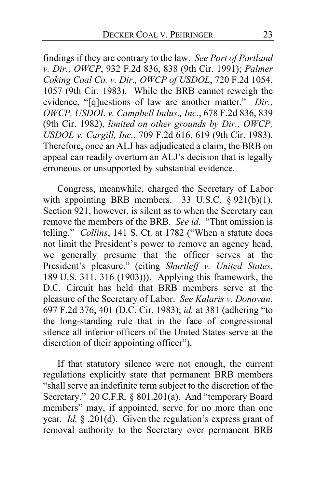findings if they are contrary to the law. *See Port of Portland v. Dir., OWCP*, 932 F.2d 836, 838 (9th Cir. 1991); *Palmer Coking Coal Co. v. Dir., OWCP of USDOL*, 720 F.2d 1054, 1057 (9th Cir. 1983). While the BRB cannot reweigh the evidence, "[q]uestions of law are another matter." *Dir., OWCP, USDOL v. Campbell Indus., Inc.*, 678 F.2d 836, 839 (9th Cir. 1982), *limited on other grounds by Dir., OWCP, USDOL v. Cargill, Inc.*, 709 F.2d 616, 619 (9th Cir. 1983). Therefore, once an ALJ has adjudicated a claim, the BRB on appeal can readily overturn an ALJ's decision that is legally erroneous or unsupported by substantial evidence.

Congress, meanwhile, charged the Secretary of Labor with appointing BRB members. 33 U.S.C.  $\S 921(b)(1)$ . Section 921, however, is silent as to when the Secretary can remove the members of the BRB. *See id.* "That omission is telling." *Collins*, 141 S. Ct. at 1782 ("When a statute does not limit the President's power to remove an agency head, we generally presume that the officer serves at the President's pleasure." (citing *Shurtleff v. United States*, 189 U.S. 311, 316 (1903))). Applying this framework, the D.C. Circuit has held that BRB members serve at the pleasure of the Secretary of Labor. *See Kalaris v. Donovan*, 697 F.2d 376, 401 (D.C. Cir. 1983); *id.* at 381 (adhering "to the long-standing rule that in the face of congressional silence all inferior officers of the United States serve at the discretion of their appointing officer").

If that statutory silence were not enough, the current regulations explicitly state that permanent BRB members "shall serve an indefinite term subject to the discretion of the Secretary." 20 C.F.R. § 801.201(a). And "temporary Board members" may, if appointed, serve for no more than one year. *Id.* § .201(d). Given the regulation's express grant of removal authority to the Secretary over permanent BRB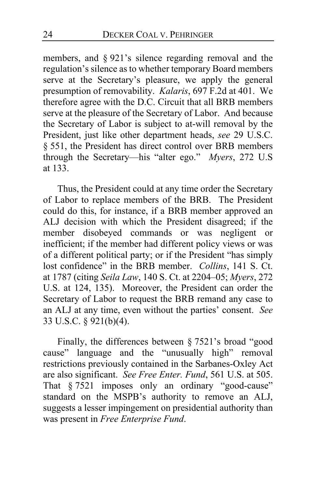members, and § 921's silence regarding removal and the regulation's silence as to whether temporary Board members serve at the Secretary's pleasure, we apply the general presumption of removability. *Kalaris*, 697 F.2d at 401. We therefore agree with the D.C. Circuit that all BRB members serve at the pleasure of the Secretary of Labor. And because the Secretary of Labor is subject to at-will removal by the President, just like other department heads, *see* 29 U.S.C. § 551, the President has direct control over BRB members through the Secretary—his "alter ego." *Myers*, 272 U.S at 133.

Thus, the President could at any time order the Secretary of Labor to replace members of the BRB. The President could do this, for instance, if a BRB member approved an ALJ decision with which the President disagreed; if the member disobeyed commands or was negligent or inefficient; if the member had different policy views or was of a different political party; or if the President "has simply lost confidence" in the BRB member. *Collins*, 141 S. Ct. at 1787 (citing *Seila Law*, 140 S. Ct. at 2204–05; *Myers*, 272 U.S. at 124, 135). Moreover, the President can order the Secretary of Labor to request the BRB remand any case to an ALJ at any time, even without the parties' consent. *See*  33 U.S.C. § 921(b)(4).

Finally, the differences between § 7521's broad "good cause" language and the "unusually high" removal restrictions previously contained in the Sarbanes-Oxley Act are also significant. *See Free Enter. Fund*, 561 U.S. at 505. That § 7521 imposes only an ordinary "good-cause" standard on the MSPB's authority to remove an ALJ, suggests a lesser impingement on presidential authority than was present in *Free Enterprise Fund*.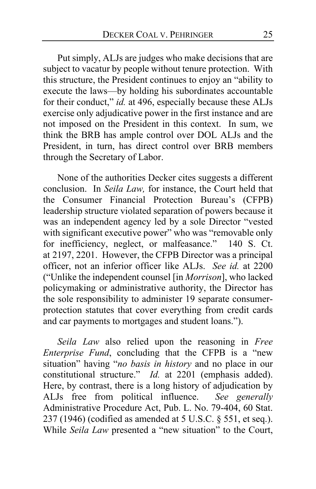Put simply, ALJs are judges who make decisions that are subject to vacatur by people without tenure protection. With this structure, the President continues to enjoy an "ability to execute the laws—by holding his subordinates accountable for their conduct," *id.* at 496, especially because these ALJs exercise only adjudicative power in the first instance and are not imposed on the President in this context. In sum, we think the BRB has ample control over DOL ALJs and the President, in turn, has direct control over BRB members through the Secretary of Labor.

None of the authorities Decker cites suggests a different conclusion. In *Seila Law,* for instance, the Court held that the Consumer Financial Protection Bureau's (CFPB) leadership structure violated separation of powers because it was an independent agency led by a sole Director "vested with significant executive power" who was "removable only for inefficiency, neglect, or malfeasance." 140 S. Ct. at 2197, 2201. However, the CFPB Director was a principal officer, not an inferior officer like ALJs. *See id.* at 2200 ("Unlike the independent counsel [in *Morrison*], who lacked policymaking or administrative authority, the Director has the sole responsibility to administer 19 separate consumerprotection statutes that cover everything from credit cards and car payments to mortgages and student loans.").

*Seila Law* also relied upon the reasoning in *Free Enterprise Fund*, concluding that the CFPB is a "new situation" having "*no basis in history* and no place in our constitutional structure." *Id.* at 2201 (emphasis added). Here, by contrast, there is a long history of adjudication by ALJs free from political influence. *See generally*  Administrative Procedure Act, Pub. L. No. 79-404, 60 Stat. 237 (1946) (codified as amended at 5 U.S.C. § 551, et seq.). While *Seila Law* presented a "new situation" to the Court,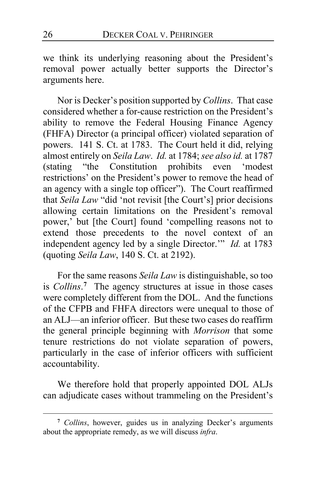we think its underlying reasoning about the President's removal power actually better supports the Director's arguments here.

Nor is Decker's position supported by *Collins*. That case considered whether a for-cause restriction on the President's ability to remove the Federal Housing Finance Agency (FHFA) Director (a principal officer) violated separation of powers. 141 S. Ct. at 1783. The Court held it did, relying almost entirely on *Seila Law. Id.* at 1784; *see also id.* at 1787<br>(stating "the Constitution prohibits even 'modest "the Constitution prohibits even 'modest restrictions' on the President's power to remove the head of an agency with a single top officer"). The Court reaffirmed that *Seila Law* "did 'not revisit [the Court's] prior decisions allowing certain limitations on the President's removal power,' but [the Court] found 'compelling reasons not to extend those precedents to the novel context of an independent agency led by a single Director.'" *Id.* at 1783 (quoting *Seila Law*, 140 S. Ct. at 2192).

For the same reasons *Seila Law* is distinguishable, so too is *Collins*. **[7](#page-25-0)** The agency structures at issue in those cases were completely different from the DOL. And the functions of the CFPB and FHFA directors were unequal to those of an ALJ—an inferior officer. But these two cases do reaffirm the general principle beginning with *Morrison* that some tenure restrictions do not violate separation of powers, particularly in the case of inferior officers with sufficient accountability.

We therefore hold that properly appointed DOL ALJs can adjudicate cases without trammeling on the President's

<span id="page-25-0"></span>**<sup>7</sup>** *Collins*, however, guides us in analyzing Decker's arguments about the appropriate remedy, as we will discuss *infra*.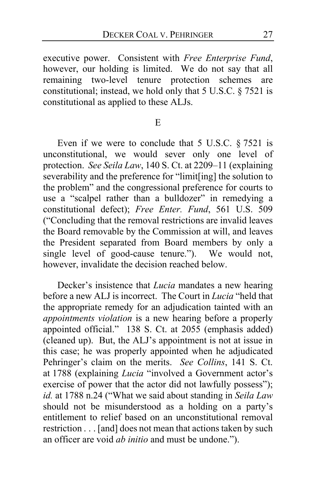executive power. Consistent with *Free Enterprise Fund*, however, our holding is limited. We do not say that all remaining two-level tenure protection schemes are constitutional; instead, we hold only that 5 U.S.C. § 7521 is constitutional as applied to these ALJs.

E

Even if we were to conclude that  $5$  U.S.C.  $\S 7521$  is unconstitutional, we would sever only one level of protection. *See Seila Law*, 140 S. Ct. at 2209–11 (explaining severability and the preference for "limit[ing] the solution to the problem" and the congressional preference for courts to use a "scalpel rather than a bulldozer" in remedying a constitutional defect); *Free Enter. Fund*, 561 U.S. 509 ("Concluding that the removal restrictions are invalid leaves the Board removable by the Commission at will, and leaves the President separated from Board members by only a single level of good-cause tenure."). We would not, however, invalidate the decision reached below.

Decker's insistence that *Lucia* mandates a new hearing before a new ALJ is incorrect. The Court in *Lucia* "held that the appropriate remedy for an adjudication tainted with an *appointments violation* is a new hearing before a properly appointed official." 138 S. Ct. at 2055 (emphasis added) (cleaned up). But, the ALJ's appointment is not at issue in this case; he was properly appointed when he adjudicated Pehringer's claim on the merits. *See Collins*, 141 S. Ct. at 1788 (explaining *Lucia* "involved a Government actor's exercise of power that the actor did not lawfully possess"); *id.* at 1788 n.24 ("What we said about standing in *Seila Law* should not be misunderstood as a holding on a party's entitlement to relief based on an unconstitutional removal restriction . . . [and] does not mean that actions taken by such an officer are void *ab initio* and must be undone.").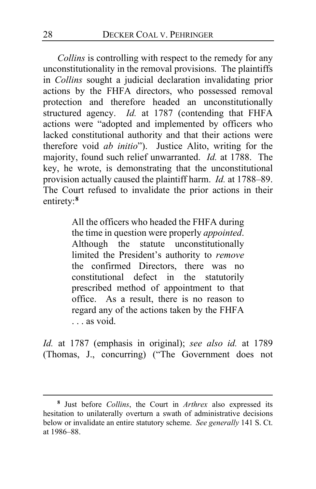*Collins* is controlling with respect to the remedy for any unconstitutionality in the removal provisions. The plaintiffs in *Collins* sought a judicial declaration invalidating prior actions by the FHFA directors, who possessed removal protection and therefore headed an unconstitutionally structured agency. *Id.* at 1787 (contending that FHFA actions were "adopted and implemented by officers who lacked constitutional authority and that their actions were therefore void *ab initio*"). Justice Alito, writing for the majority, found such relief unwarranted. *Id.* at 1788.The key, he wrote, is demonstrating that the unconstitutional provision actually caused the plaintiff harm. *Id.* at 1788–89. The Court refused to invalidate the prior actions in their entirety:**[8](#page-27-0)**

> All the officers who headed the FHFA during the time in question were properly *appointed*. Although the statute unconstitutionally limited the President's authority to *remove* the confirmed Directors, there was no constitutional defect in the statutorily prescribed method of appointment to that office. As a result, there is no reason to regard any of the actions taken by the FHFA . . . as void.

*Id.* at 1787 (emphasis in original); *see also id.* at 1789 (Thomas, J., concurring) ("The Government does not

<span id="page-27-0"></span>**<sup>8</sup>** Just before *Collins*, the Court in *Arthrex* also expressed its hesitation to unilaterally overturn a swath of administrative decisions below or invalidate an entire statutory scheme. *See generally* 141 S. Ct. at 1986–88.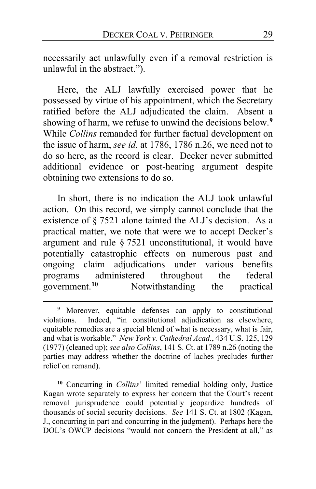necessarily act unlawfully even if a removal restriction is unlawful in the abstract.").

Here, the ALJ lawfully exercised power that he possessed by virtue of his appointment, which the Secretary ratified before the ALJ adjudicated the claim. Absent a showing of harm, we refuse to unwind the decisions below.**[9](#page-28-0)** While *Collins* remanded for further factual development on the issue of harm, *see id.* at 1786, 1786 n.26, we need not to do so here, as the record is clear. Decker never submitted additional evidence or post-hearing argument despite obtaining two extensions to do so.

In short, there is no indication the ALJ took unlawful action. On this record, we simply cannot conclude that the existence of § 7521 alone tainted the ALJ's decision. As a practical matter, we note that were we to accept Decker's argument and rule § 7521 unconstitutional, it would have potentially catastrophic effects on numerous past and ongoing claim adjudications under various benefits programs administered throughout the federal<br>government.<sup>10</sup> Notwithstanding the practical Notwithstanding the practical

<span id="page-28-1"></span>**<sup>10</sup>** Concurring in *Collins*' limited remedial holding only, Justice Kagan wrote separately to express her concern that the Court's recent removal jurisprudence could potentially jeopardize hundreds of thousands of social security decisions. *See* 141 S. Ct. at 1802 (Kagan, J., concurring in part and concurring in the judgment). Perhaps here the DOL's OWCP decisions "would not concern the President at all," as

<span id="page-28-0"></span>**<sup>9</sup>** Moreover, equitable defenses can apply to constitutional violations. Indeed, "in constitutional adjudication as elsewhere, equitable remedies are a special blend of what is necessary, what is fair, and what is workable." *New York v. Cathedral Acad.*, 434 U.S. 125, 129 (1977) (cleaned up); *see also Collins*, 141 S. Ct. at 1789 n.26 (noting the parties may address whether the doctrine of laches precludes further relief on remand).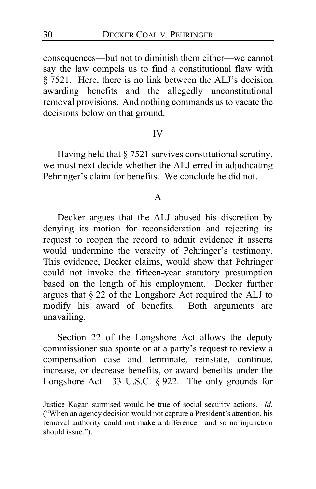consequences—but not to diminish them either—we cannot say the law compels us to find a constitutional flaw with § 7521. Here, there is no link between the ALJ's decision awarding benefits and the allegedly unconstitutional removal provisions. And nothing commands us to vacate the decisions below on that ground.

#### IV

Having held that § 7521 survives constitutional scrutiny, we must next decide whether the ALJ erred in adjudicating Pehringer's claim for benefits. We conclude he did not.

#### A

Decker argues that the ALJ abused his discretion by denying its motion for reconsideration and rejecting its request to reopen the record to admit evidence it asserts would undermine the veracity of Pehringer's testimony. This evidence, Decker claims, would show that Pehringer could not invoke the fifteen-year statutory presumption based on the length of his employment. Decker further argues that § 22 of the Longshore Act required the ALJ to modify his award of benefits. Both arguments are unavailing.

Section 22 of the Longshore Act allows the deputy commissioner sua sponte or at a party's request to review a compensation case and terminate, reinstate, continue, increase, or decrease benefits, or award benefits under the Longshore Act. 33 U.S.C. § 922. The only grounds for

Justice Kagan surmised would be true of social security actions. *Id.*  ("When an agency decision would not capture a President's attention, his removal authority could not make a difference—and so no injunction should issue.").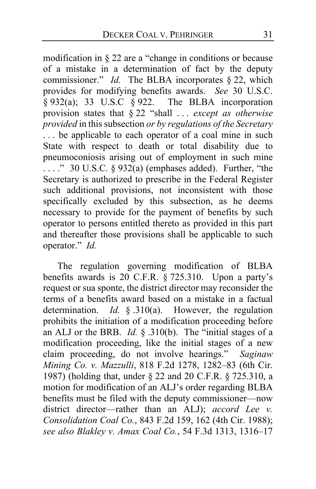modification in § 22 are a "change in conditions or because of a mistake in a determination of fact by the deputy commissioner." *Id.* The BLBA incorporates § 22, which provides for modifying benefits awards. *See* 30 U.S.C.  $\S 932(a)$ ; 33 U.S.C  $\S 922$ . The BLBA incorporation provision states that § 22 "shall . . . *except as otherwise provided* in this subsection *or by regulations of the Secretary*  ... be applicable to each operator of a coal mine in such State with respect to death or total disability due to pneumoconiosis arising out of employment in such mine  $\ldots$ ." 30 U.S.C. § 932(a) (emphases added). Further, "the Secretary is authorized to prescribe in the Federal Register such additional provisions, not inconsistent with those specifically excluded by this subsection, as he deems necessary to provide for the payment of benefits by such operator to persons entitled thereto as provided in this part and thereafter those provisions shall be applicable to such operator." *Id.*

The regulation governing modification of BLBA benefits awards is 20 C.F.R. § 725.310. Upon a party's request or sua sponte, the district director may reconsider the terms of a benefits award based on a mistake in a factual determination. *Id.* § .310(a). However, the regulation prohibits the initiation of a modification proceeding before an ALJ or the BRB. *Id.* § .310(b). The "initial stages of a modification proceeding, like the initial stages of a new claim proceeding, do not involve hearings." *Saginaw Mining Co. v. Mazzulli*, 818 F.2d 1278, 1282–83 (6th Cir. 1987) (holding that, under § 22 and 20 C.F.R. § 725.310, a motion for modification of an ALJ's order regarding BLBA benefits must be filed with the deputy commissioner—now district director—rather than an ALJ); *accord Lee v. Consolidation Coal Co.*, 843 F.2d 159, 162 (4th Cir. 1988); *see also Blakley v. Amax Coal Co.*, 54 F.3d 1313, 1316–17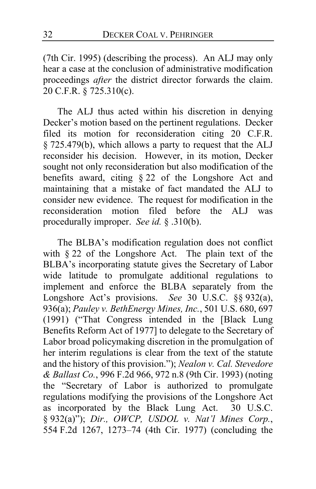(7th Cir. 1995) (describing the process). An ALJ may only hear a case at the conclusion of administrative modification proceedings *after* the district director forwards the claim. 20 C.F.R. § 725.310(c).

The ALJ thus acted within his discretion in denying Decker's motion based on the pertinent regulations. Decker filed its motion for reconsideration citing 20 C.F.R. § 725.479(b), which allows a party to request that the ALJ reconsider his decision. However, in its motion, Decker sought not only reconsideration but also modification of the benefits award, citing § 22 of the Longshore Act and maintaining that a mistake of fact mandated the ALJ to consider new evidence. The request for modification in the reconsideration motion filed before the ALJ was procedurally improper. *See id.* § .310(b).

The BLBA's modification regulation does not conflict with § 22 of the Longshore Act. The plain text of the BLBA's incorporating statute gives the Secretary of Labor wide latitude to promulgate additional regulations to implement and enforce the BLBA separately from the Longshore Act's provisions. *See* 30 U.S.C. §§ 932(a), 936(a); *Pauley v. BethEnergy Mines, Inc.*, 501 U.S. 680, 697 (1991) ("That Congress intended in the [Black Lung Benefits Reform Act of 1977] to delegate to the Secretary of Labor broad policymaking discretion in the promulgation of her interim regulations is clear from the text of the statute and the history of this provision."); *Nealon v. Cal. Stevedore & Ballast Co.*, 996 F.2d 966, 972 n.8 (9th Cir. 1993) (noting the "Secretary of Labor is authorized to promulgate regulations modifying the provisions of the Longshore Act as incorporated by the Black Lung Act. 30 U.S.C. § 932(a)"); *Dir., OWCP, USDOL v. Nat'l Mines Corp.*, 554 F.2d 1267, 1273–74 (4th Cir. 1977) (concluding the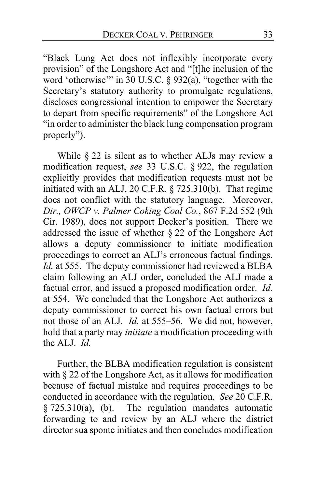"Black Lung Act does not inflexibly incorporate every provision" of the Longshore Act and "[t]he inclusion of the word 'otherwise'" in  $30$  U.S.C. § 932(a), "together with the Secretary's statutory authority to promulgate regulations, discloses congressional intention to empower the Secretary to depart from specific requirements" of the Longshore Act "in order to administer the black lung compensation program properly").

While § 22 is silent as to whether ALJs may review a modification request, *see* 33 U.S.C. § 922, the regulation explicitly provides that modification requests must not be initiated with an ALJ, 20 C.F.R. § 725.310(b). That regime does not conflict with the statutory language. Moreover, *Dir., OWCP v. Palmer Coking Coal Co.*, 867 F.2d 552 (9th Cir. 1989), does not support Decker's position. There we addressed the issue of whether § 22 of the Longshore Act allows a deputy commissioner to initiate modification proceedings to correct an ALJ's erroneous factual findings. *Id.* at 555. The deputy commissioner had reviewed a BLBA claim following an ALJ order, concluded the ALJ made a factual error, and issued a proposed modification order. *Id.*  at 554. We concluded that the Longshore Act authorizes a deputy commissioner to correct his own factual errors but not those of an ALJ. *Id.* at 555–56. We did not, however, hold that a party may *initiate* a modification proceeding with the ALJ. *Id.*

Further, the BLBA modification regulation is consistent with § 22 of the Longshore Act, as it allows for modification because of factual mistake and requires proceedings to be conducted in accordance with the regulation. *See* 20 C.F.R. § 725.310(a), (b). The regulation mandates automatic forwarding to and review by an ALJ where the district director sua sponte initiates and then concludes modification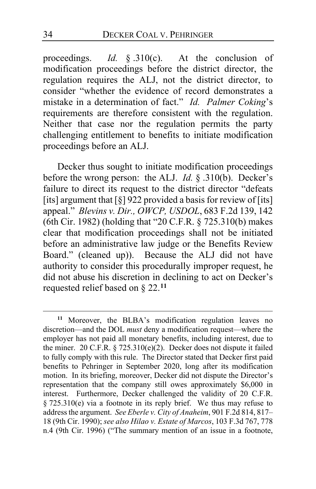proceedings. *Id.* § .310(c). At the conclusion of modification proceedings before the district director, the regulation requires the ALJ, not the district director, to consider "whether the evidence of record demonstrates a mistake in a determination of fact." *Id. Palmer Coking*'s requirements are therefore consistent with the regulation. Neither that case nor the regulation permits the party challenging entitlement to benefits to initiate modification proceedings before an ALJ.

Decker thus sought to initiate modification proceedings before the wrong person: the ALJ. *Id.* § .310(b). Decker's failure to direct its request to the district director "defeats [its] argument that  $\lceil \S \rceil$  922 provided a basis for review of [its] appeal." *Blevins v. Dir., OWCP, USDOL*, 683 F.2d 139, 142 (6th Cir. 1982) (holding that "20 C.F.R. § 725.310(b) makes clear that modification proceedings shall not be initiated before an administrative law judge or the Benefits Review Board." (cleaned up)). Because the ALJ did not have authority to consider this procedurally improper request, he did not abuse his discretion in declining to act on Decker's requested relief based on § 22.**[11](#page-33-0)**

<span id="page-33-0"></span>**<sup>11</sup>** Moreover, the BLBA's modification regulation leaves no discretion—and the DOL *must* deny a modification request—where the employer has not paid all monetary benefits, including interest, due to the miner. 20 C.F.R. § 725.310(e)(2). Decker does not dispute it failed to fully comply with this rule. The Director stated that Decker first paid benefits to Pehringer in September 2020, long after its modification motion. In its briefing, moreover, Decker did not dispute the Director's representation that the company still owes approximately \$6,000 in interest. Furthermore, Decker challenged the validity of 20 C.F.R. § 725.310(e) via a footnote in its reply brief. We thus may refuse to address the argument. *See Eberle v. City of Anaheim*, 901 F.2d 814, 817– 18 (9th Cir. 1990); *see also Hilao v. Estate of Marcos*, 103 F.3d 767, 778 n.4 (9th Cir. 1996) ("The summary mention of an issue in a footnote,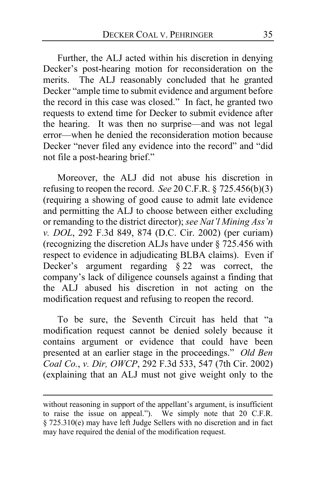Further, the ALJ acted within his discretion in denying Decker's post-hearing motion for reconsideration on the merits. The ALJ reasonably concluded that he granted Decker "ample time to submit evidence and argument before the record in this case was closed." In fact, he granted two requests to extend time for Decker to submit evidence after the hearing. It was then no surprise—and was not legal error—when he denied the reconsideration motion because Decker "never filed any evidence into the record" and "did not file a post-hearing brief."

Moreover, the ALJ did not abuse his discretion in refusing to reopen the record. *See* 20 C.F.R. § 725.456(b)(3) (requiring a showing of good cause to admit late evidence and permitting the ALJ to choose between either excluding or remanding to the district director); *see Nat'l Mining Ass'n v. DOL*, 292 F.3d 849, 874 (D.C. Cir. 2002) (per curiam) (recognizing the discretion ALJs have under  $\frac{2}{5}$  725.456 with respect to evidence in adjudicating BLBA claims). Even if Decker's argument regarding § 22 was correct, the company's lack of diligence counsels against a finding that the ALJ abused his discretion in not acting on the modification request and refusing to reopen the record.

To be sure, the Seventh Circuit has held that "a modification request cannot be denied solely because it contains argument or evidence that could have been presented at an earlier stage in the proceedings." *Old Ben Coal Co.*, *v. Dir, OWCP*, 292 F.3d 533, 547 (7th Cir. 2002) (explaining that an ALJ must not give weight only to the

without reasoning in support of the appellant's argument, is insufficient to raise the issue on appeal."). We simply note that 20 C.F.R. § 725.310(e) may have left Judge Sellers with no discretion and in fact may have required the denial of the modification request.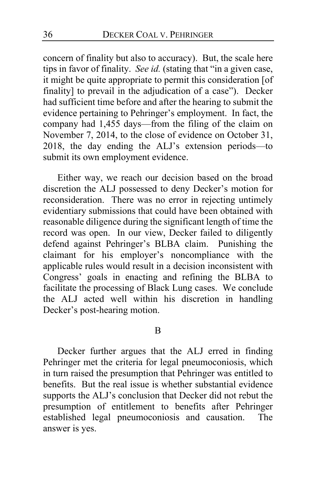concern of finality but also to accuracy). But, the scale here tips in favor of finality. *See id.* (stating that "in a given case, it might be quite appropriate to permit this consideration [of finality] to prevail in the adjudication of a case"). Decker had sufficient time before and after the hearing to submit the evidence pertaining to Pehringer's employment. In fact, the company had 1,455 days—from the filing of the claim on November 7, 2014, to the close of evidence on October 31, 2018, the day ending the ALJ's extension periods—to submit its own employment evidence.

Either way, we reach our decision based on the broad discretion the ALJ possessed to deny Decker's motion for reconsideration. There was no error in rejecting untimely evidentiary submissions that could have been obtained with reasonable diligence during the significant length of time the record was open. In our view, Decker failed to diligently defend against Pehringer's BLBA claim. Punishing the claimant for his employer's noncompliance with the applicable rules would result in a decision inconsistent with Congress' goals in enacting and refining the BLBA to facilitate the processing of Black Lung cases. We conclude the ALJ acted well within his discretion in handling Decker's post-hearing motion.

#### B

Decker further argues that the ALJ erred in finding Pehringer met the criteria for legal pneumoconiosis, which in turn raised the presumption that Pehringer was entitled to benefits. But the real issue is whether substantial evidence supports the ALJ's conclusion that Decker did not rebut the presumption of entitlement to benefits after Pehringer established legal pneumoconiosis and causation. The answer is yes.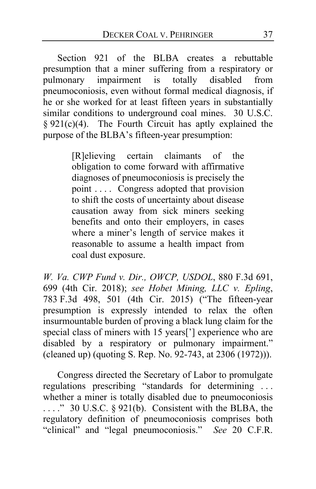Section 921 of the BLBA creates a rebuttable presumption that a miner suffering from a respiratory or pulmonary impairment is totally disabled from pneumoconiosis, even without formal medical diagnosis, if he or she worked for at least fifteen years in substantially similar conditions to underground coal mines. 30 U.S.C.  $§ 921(c)(4)$ . The Fourth Circuit has aptly explained the purpose of the BLBA's fifteen-year presumption:

> [R]elieving certain claimants of the obligation to come forward with affirmative diagnoses of pneumoconiosis is precisely the point . . . . Congress adopted that provision to shift the costs of uncertainty about disease causation away from sick miners seeking benefits and onto their employers, in cases where a miner's length of service makes it reasonable to assume a health impact from coal dust exposure.

*W. Va. CWP Fund v. Dir., OWCP, USDOL*, 880 F.3d 691, 699 (4th Cir. 2018); *see Hobet Mining, LLC v. Epling*, 783 F.3d 498, 501 (4th Cir. 2015) ("The fifteen-year presumption is expressly intended to relax the often insurmountable burden of proving a black lung claim for the special class of miners with 15 years<sup>[']</sup> experience who are disabled by a respiratory or pulmonary impairment." (cleaned up) (quoting S. Rep. No. 92-743, at 2306 (1972))).

Congress directed the Secretary of Labor to promulgate regulations prescribing "standards for determining . . . whether a miner is totally disabled due to pneumoconiosis ...." 30 U.S.C. § 921(b). Consistent with the BLBA, the regulatory definition of pneumoconiosis comprises both "clinical" and "legal pneumoconiosis." *See* 20 C.F.R.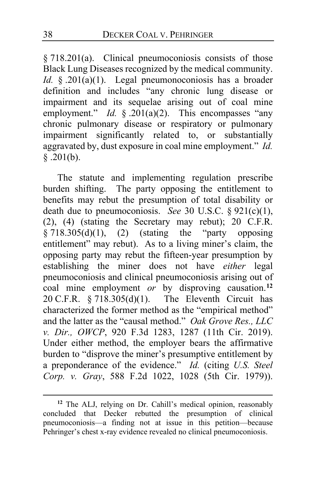§ 718.201(a). Clinical pneumoconiosis consists of those Black Lung Diseases recognized by the medical community. *Id.* § .201(a)(1). Legal pneumonoconiosis has a broader definition and includes "any chronic lung disease or impairment and its sequelae arising out of coal mine employment." *Id.* § .201(a)(2). This encompasses "any chronic pulmonary disease or respiratory or pulmonary impairment significantly related to, or substantially aggravated by, dust exposure in coal mine employment." *Id.*   $\sqrt[5]{.201(b)}$ .

The statute and implementing regulation prescribe burden shifting. The party opposing the entitlement to benefits may rebut the presumption of total disability or death due to pneumoconiosis. *See* 30 U.S.C. § 921(c)(1), (2), (4) (stating the Secretary may rebut);  $20 \text{ C.F.R.}$  $\S$  718.305(d)(1), (2) (stating the "party opposing entitlement" may rebut). As to a living miner's claim, the opposing party may rebut the fifteen-year presumption by establishing the miner does not have *either* legal pneumoconiosis and clinical pneumoconiosis arising out of coal mine employment *or* by disproving causation.**[12](#page-37-0)** 20 C.F.R.  $\S 718.305(d)(1)$ . The Eleventh Circuit has characterized the former method as the "empirical method" and the latter as the "causal method." *Oak Grove Res., LLC v. Dir., OWCP*, 920 F.3d 1283, 1287 (11th Cir. 2019). Under either method, the employer bears the affirmative burden to "disprove the miner's presumptive entitlement by a preponderance of the evidence." *Id.* (citing *U.S. Steel Corp. v. Gray*, 588 F.2d 1022, 1028 (5th Cir. 1979)).

<span id="page-37-0"></span>**<sup>12</sup>** The ALJ, relying on Dr. Cahill's medical opinion, reasonably concluded that Decker rebutted the presumption of clinical pneumoconiosis—a finding not at issue in this petition—because Pehringer's chest x-ray evidence revealed no clinical pneumoconiosis.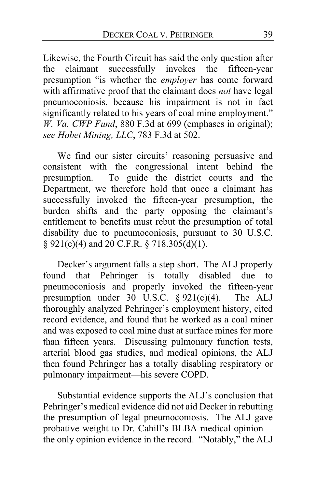Likewise, the Fourth Circuit has said the only question after the claimant successfully invokes the fifteen-year presumption "is whether the *employer* has come forward with affirmative proof that the claimant does *not* have legal pneumoconiosis, because his impairment is not in fact significantly related to his years of coal mine employment." *W. Va. CWP Fund*, 880 F.3d at 699 (emphases in original); *see Hobet Mining, LLC*, 783 F.3d at 502.

We find our sister circuits' reasoning persuasive and consistent with the congressional intent behind the presumption. To guide the district courts and the Department, we therefore hold that once a claimant has successfully invoked the fifteen-year presumption, the burden shifts and the party opposing the claimant's entitlement to benefits must rebut the presumption of total disability due to pneumoconiosis, pursuant to 30 U.S.C. § 921(c)(4) and 20 C.F.R. § 718.305(d)(1).

Decker's argument falls a step short. The ALJ properly found that Pehringer is totally disabled due to pneumoconiosis and properly invoked the fifteen-year presumption under  $30\,$  U.S.C. § 921(c)(4). The ALJ thoroughly analyzed Pehringer's employment history, cited record evidence, and found that he worked as a coal miner and was exposed to coal mine dust at surface mines for more than fifteen years. Discussing pulmonary function tests, arterial blood gas studies, and medical opinions, the ALJ then found Pehringer has a totally disabling respiratory or pulmonary impairment—his severe COPD.

Substantial evidence supports the ALJ's conclusion that Pehringer's medical evidence did not aid Decker in rebutting the presumption of legal pneumoconiosis. The ALJ gave probative weight to Dr. Cahill's BLBA medical opinion the only opinion evidence in the record. "Notably," the ALJ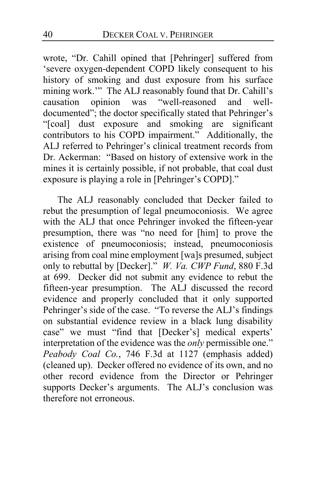wrote, "Dr. Cahill opined that [Pehringer] suffered from 'severe oxygen-dependent COPD likely consequent to his history of smoking and dust exposure from his surface mining work." The ALJ reasonably found that Dr. Cahill's<br>causation opinion was "well-reasoned and wellcausation opinion was documented"; the doctor specifically stated that Pehringer's "[coal] dust exposure and smoking are significant contributors to his COPD impairment." Additionally, the ALJ referred to Pehringer's clinical treatment records from Dr. Ackerman: "Based on history of extensive work in the mines it is certainly possible, if not probable, that coal dust exposure is playing a role in [Pehringer's COPD]."

The ALJ reasonably concluded that Decker failed to rebut the presumption of legal pneumoconiosis. We agree with the ALJ that once Pehringer invoked the fifteen-year presumption, there was "no need for [him] to prove the existence of pneumoconiosis; instead, pneumoconiosis arising from coal mine employment [wa]s presumed, subject only to rebuttal by [Decker]." *W. Va. CWP Fund*, 880 F.3d at 699. Decker did not submit any evidence to rebut the fifteen-year presumption. The ALJ discussed the record evidence and properly concluded that it only supported Pehringer's side of the case. "To reverse the ALJ's findings on substantial evidence review in a black lung disability case" we must "find that [Decker's] medical experts' interpretation of the evidence was the *only* permissible one." *Peabody Coal Co.*, 746 F.3d at 1127 (emphasis added) (cleaned up). Decker offered no evidence of its own, and no other record evidence from the Director or Pehringer supports Decker's arguments. The ALJ's conclusion was therefore not erroneous.